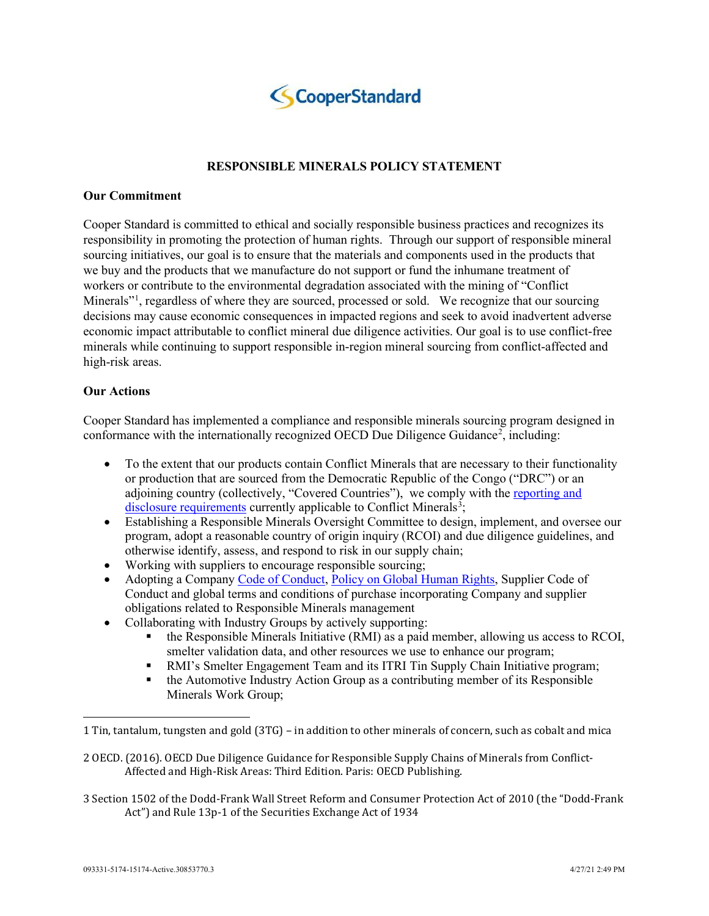

# **RESPONSIBLE MINERALS POLICY STATEMENT**

#### **Our Commitment**

Cooper Standard is committed to ethical and socially responsible business practices and recognizes its responsibility in promoting the protection of human rights. Through our support of responsible mineral sourcing initiatives, our goal is to ensure that the materials and components used in the products that we buy and the products that we manufacture do not support or fund the inhumane treatment of workers or contribute to the environmental degradation associated with the mining of "Conflict Minerals"<sup>[1](#page-0-0)</sup>, regardless of where they are sourced, processed or sold. We recognize that our sourcing decisions may cause economic consequences in impacted regions and seek to avoid inadvertent adverse economic impact attributable to conflict mineral due diligence activities. Our goal is to use conflict-free minerals while continuing to support responsible in-region mineral sourcing from conflict-affected and high-risk areas.

## **Our Actions**

Cooper Standard has implemented a compliance and responsible minerals sourcing program designed in conformance with the internationally recognized OECD Due Diligence Guidance<sup>[2](#page-0-1)</sup>, including:

- To the extent that our products contain Conflict Minerals that are necessary to their functionality or production that are sourced from the Democratic Republic of the Congo ("DRC") or an adjoining country (collectively, "Covered Countries"), we comply with the [reporting and](https://www.cooperstandard.com/investors/corporate-governance/policy-statements)  [disclosure requirements](https://www.cooperstandard.com/investors/corporate-governance/policy-statements) currently applicable to Conflict Minerals<sup>[3](#page-0-2)</sup>;
- Establishing a Responsible Minerals Oversight Committee to design, implement, and oversee our program, adopt a reasonable country of origin inquiry (RCOI) and due diligence guidelines, and otherwise identify, assess, and respond to risk in our supply chain;
- Working with suppliers to encourage responsible sourcing;
- Adopting a Company [Code of Conduct,](https://www.cooperstandard.com/investors/corporate-governance/code-of-conduct) [Policy on Global Human Rights,](https://www.cooperstandard.com/Global_Human_Rights_Policy) Supplier Code of Conduct and global terms and conditions of purchase incorporating Company and supplier obligations related to Responsible Minerals management
- Collaborating with Industry Groups by actively supporting:
	- $\blacksquare$  the Responsible Minerals Initiative (RMI) as a paid member, allowing us access to RCOI, smelter validation data, and other resources we use to enhance our program;
	- RMI's Smelter Engagement Team and its ITRI Tin Supply Chain Initiative program;
	- the Automotive Industry Action Group as a contributing member of its Responsible Minerals Work Group;

<span id="page-0-2"></span>3 Section 1502 of the Dodd-Frank Wall Street Reform and Consumer Protection Act of 2010 (the "Dodd-Frank Act") and Rule 13p-1 of the Securities Exchange Act of 1934

<span id="page-0-0"></span><sup>1</sup> Tin, tantalum, tungsten and gold (3TG) – in addition to other minerals of concern, such as cobalt and mica

<span id="page-0-1"></span><sup>2</sup> OECD. (2016). OECD Due Diligence Guidance for Responsible Supply Chains of Minerals from Conflict-Affected and High-Risk Areas: Third Edition. Paris: OECD Publishing.